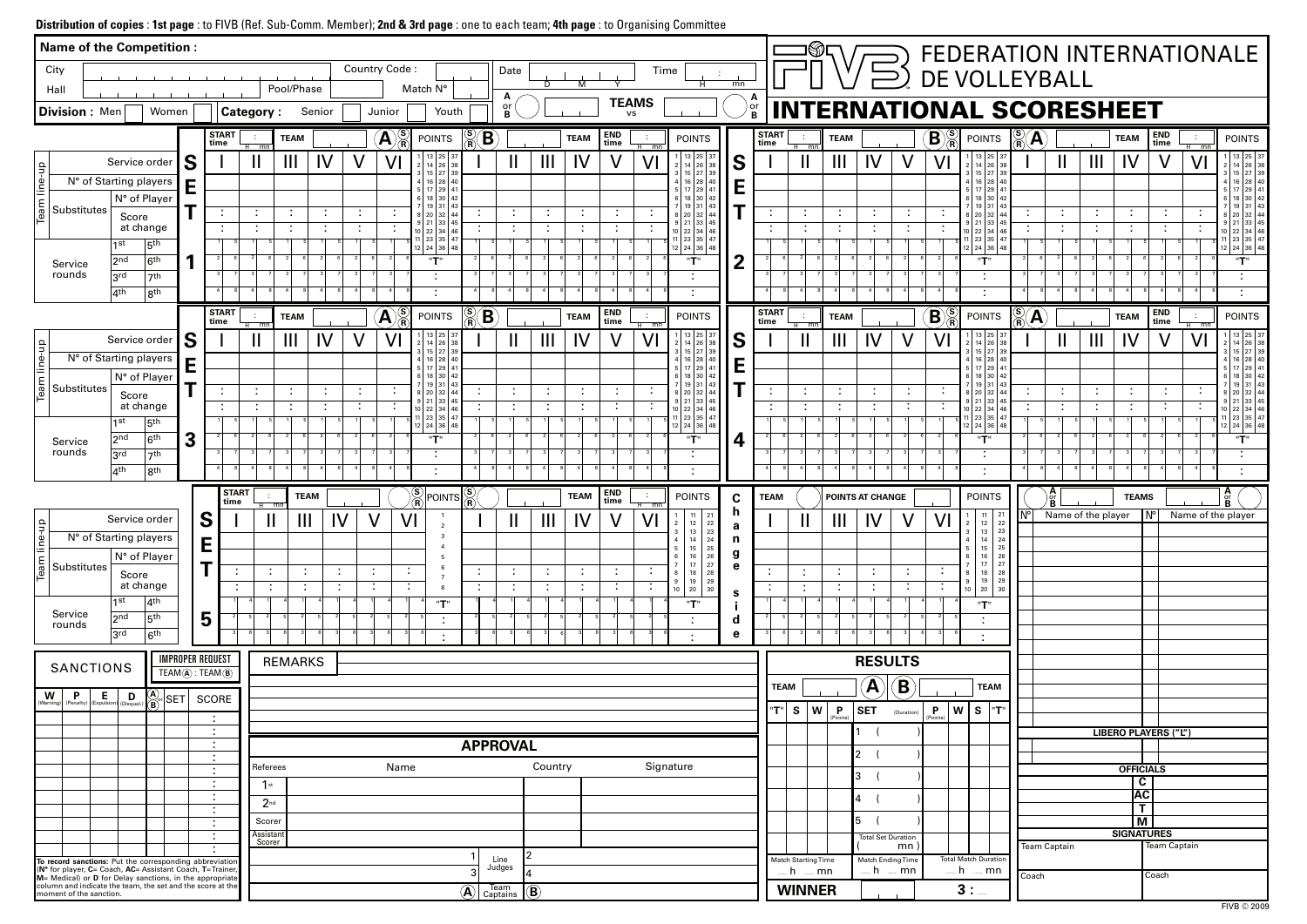## **Distribution of copies** : **1st page** : to FIVB (Ref. Sub-Comm. Member); **2nd & 3rd page** : one to each team; **4th page** : to Organising Committee

| Name of the Competition :                                                                                                                                |                                                       |                                           |                                       |                                                   |                |             |        |                           |                                                 |                                    |                  |                     |                             |                             |                         |                                                                      |                  |                      |                          |                                 |                           |                             |                            |                                                                             |                                                                               |                     |                             |                             |                                      |                      |              | FEDERATION INTERNATIONALE                                        |
|----------------------------------------------------------------------------------------------------------------------------------------------------------|-------------------------------------------------------|-------------------------------------------|---------------------------------------|---------------------------------------------------|----------------|-------------|--------|---------------------------|-------------------------------------------------|------------------------------------|------------------|---------------------|-----------------------------|-----------------------------|-------------------------|----------------------------------------------------------------------|------------------|----------------------|--------------------------|---------------------------------|---------------------------|-----------------------------|----------------------------|-----------------------------------------------------------------------------|-------------------------------------------------------------------------------|---------------------|-----------------------------|-----------------------------|--------------------------------------|----------------------|--------------|------------------------------------------------------------------|
| City                                                                                                                                                     |                                                       |                                           |                                       |                                                   |                |             |        | Country Code:             |                                                 |                                    | Date             |                     |                             |                             | Time                    |                                                                      |                  |                      |                          |                                 |                           | $\Xi$                       | DE VOLLEYBALL              |                                                                             |                                                                               |                     |                             |                             |                                      |                      |              |                                                                  |
| Hall                                                                                                                                                     |                                                       |                                           |                                       |                                                   | Pool/Phase     |             |        |                           | Match N°                                        |                                    | A                |                     | M                           |                             |                         |                                                                      | mn               |                      |                          |                                 |                           |                             |                            |                                                                             |                                                                               |                     |                             |                             |                                      |                      |              |                                                                  |
| <b>Division: Men</b>                                                                                                                                     | Women                                                 |                                           |                                       | <b>Category:</b>                                  |                | Senior      |        | Junior                    | Youth                                           |                                    | or<br>B          |                     |                             | <b>TEAMS</b><br><b>vs</b>   |                         |                                                                      | or<br>B          |                      |                          | <b>INTERNATIONAL SCORESHEET</b> |                           |                             |                            |                                                                             |                                                                               |                     |                             |                             |                                      |                      |              |                                                                  |
|                                                                                                                                                          |                                                       |                                           | <b>START</b><br>time                  |                                                   | <b>TEAM</b>    |             |        | $\left( {\bf{A}} \right)$ | <b>POINTS</b>                                   | $\sum_{\mathbf{p}}$<br>$\mathbf B$ |                  |                     | <b>TEAM</b>                 | <b>END</b><br>time          | $\sim$                  | <b>POINTS</b>                                                        |                  | <b>START</b><br>time |                          | <b>TEAM</b>                     |                           |                             | $\left( \mathbf{B}\right)$ | <b>POINTS</b>                                                               | $\frac{\text{(S)}}{\text{(R)}}$                                               | A                   |                             |                             | <b>TEAM</b>                          | END<br>time          | $\sim$       | <b>POINTS</b>                                                    |
|                                                                                                                                                          | Service order                                         | S                                         |                                       | $\overline{m}$<br>$\mathbf{\mathsf{I}}$           | $\mathbf{III}$ | IV          |        |                           | 13 25 37<br>14 26                               |                                    |                  | $\mathbf{III}$      | IV                          | $\mathsf{V}$                | <del>৷</del><br>শ<br>VI | 13 25<br>26                                                          | S                |                      |                          | $\mathbf{III}$                  | IV                        |                             |                            |                                                                             | 13 25 37<br>26 38                                                             |                     | $\mathbf{\mathsf{I}}$       | $\mathbf{III}$              | IV                                   |                      | $H$ mn<br>VI | $1 \mid 13 \mid 25 \mid 37$<br>14 26 38                          |
| eam line-up<br>N° of Starting players                                                                                                                    |                                                       | Е                                         |                                       |                                                   |                |             |        |                           | $15$ 27 39<br>4 16 28 40                        |                                    |                  |                     |                             |                             |                         | 16 28                                                                | E                |                      |                          |                                 |                           |                             |                            | 3   15   27   39<br>4   16   28   40                                        |                                                                               |                     |                             |                             |                                      |                      |              | 3   15   27   39<br>4 16 28 40                                   |
|                                                                                                                                                          | N° of Player                                          |                                           |                                       |                                                   |                |             |        |                           | 5 17 29 4<br>6 18 30 42<br>$19 \mid 31 \mid 43$ |                                    |                  |                     |                             |                             |                         | 5   17   29  <br>6 18 30                                             |                  |                      |                          |                                 |                           |                             |                            | 5 17 29 4<br>6 18 30 42                                                     | $19 \mid 31 \mid 43$                                                          |                     |                             |                             |                                      |                      |              | 5 17 29 4<br>6 18 30<br>19 31                                    |
| Substitutes<br>Score                                                                                                                                     |                                                       |                                           |                                       |                                                   |                | ÷           |        |                           | 8 20 32 44<br>$9$ 21 33 45                      |                                    | $\sim$           | ÷<br>$\blacksquare$ | $\ddot{\phantom{a}}$        | ÷                           | ÷                       | 8 20<br>9   21   33                                                  |                  |                      | $\blacksquare$           |                                 | ÷<br>. .                  |                             |                            | 8 20 32 44<br>$9$ 21 33 45                                                  |                                                                               |                     | $\mathcal{L}$               | ÷                           | ÷                                    | ÷                    |              | 8   20   32  <br>9   21   33   45                                |
| 1 st                                                                                                                                                     | at change<br>5 <sup>th</sup>                          |                                           |                                       |                                                   |                |             |        |                           | $10$ 22 34 46<br>11 23 35 47                    |                                    |                  |                     | $\mathcal{L}_{\mathcal{A}}$ | ÷                           |                         | 10 22 34<br>11   23   35   4                                         |                  |                      |                          |                                 |                           |                             |                            | 10 22 34 46<br> 23 35 47                                                    |                                                                               |                     | $\mathcal{L}_{\mathcal{A}}$ | $\sim$                      | $\blacksquare$                       |                      |              | 10   22   34   46<br>$11 \mid 23 \mid 35 \mid 47$                |
| 2 <sub>nd</sub><br>Service                                                                                                                               | 6 <sup>th</sup>                                       |                                           |                                       |                                                   |                |             |        |                           | 12 24 36 48<br>"T"                              |                                    |                  |                     |                             |                             |                         | 12   24   36  <br>"T"                                                | 2                |                      |                          |                                 |                           |                             |                            | 12 24 36 48<br>"T"                                                          |                                                                               |                     |                             |                             |                                      |                      |              | 12 24 36 48<br>"T"                                               |
| rounds<br>3rd                                                                                                                                            | 7 <sup>th</sup>                                       |                                           |                                       |                                                   |                |             |        |                           | $\blacksquare$                                  |                                    |                  |                     |                             |                             |                         | $\blacksquare$                                                       |                  |                      |                          |                                 |                           |                             |                            | . .                                                                         |                                                                               |                     |                             |                             |                                      |                      |              |                                                                  |
| $ 4$ th                                                                                                                                                  | $ 8^{th}$                                             |                                           |                                       |                                                   |                |             |        |                           |                                                 |                                    |                  |                     |                             |                             |                         |                                                                      |                  |                      |                          |                                 |                           |                             |                            |                                                                             |                                                                               |                     | -41                         |                             |                                      |                      |              |                                                                  |
|                                                                                                                                                          |                                                       |                                           | <b>START</b><br>time                  | $\overline{m}$                                    | <b>TEAM</b>    |             |        | A                         | <b>POINTS</b>                                   | $\mathbf B$                        |                  |                     | <b>TEAM</b>                 | <b>END</b><br>time          | ÷                       | <b>POINTS</b>                                                        |                  | <b>START</b><br>time |                          | <b>TEAM</b>                     |                           |                             | $\mathbf B$                | <b>POINTS</b>                                                               | $\overset{\text{\tiny{(S)}}}{\mathsf{R}}$                                     | A                   |                             |                             | <b>TEAM</b>                          | END<br>time          | $H$ mn       | <b>POINTS</b>                                                    |
|                                                                                                                                                          | Service order                                         | S                                         |                                       | $\mathbf{\mathbf{\mathsf{I}}}\mathbf{\mathsf{I}}$ | $\mathbf{III}$ | IV          |        | Vl                        | 13 25 37<br>14 26 38<br>$15$ 27 39              |                                    |                  | $\mathbf{III}$      | IV                          |                             | V <sub>l</sub>          | 13 25<br>$ 26\rangle$<br>15 27                                       | S                |                      |                          | Ш                               | IV                        |                             | V                          | 3   15   27   39                                                            | 13   25   37<br>14 26 38                                                      |                     | Ш                           | $\mathbf{III}$              | IV                                   |                      | VI           | $13 \mid 25 \mid 37$<br>$14 \mid 26 \mid 38$<br>3   15   27   39 |
| line-up<br>N° of Starting players                                                                                                                        |                                                       | E                                         |                                       |                                                   |                |             |        |                           | 4   16   28   40<br>$17$ 29 4                   |                                    |                  |                     |                             |                             |                         | 4 16 28<br>i   17   29                                               | E                |                      |                          |                                 |                           |                             |                            | 4   16   28   40<br>5   17   29   41                                        |                                                                               |                     |                             |                             |                                      |                      |              | 4 16 28 40<br>5   17   29                                        |
| eam<br>Substitutes                                                                                                                                       | N° of Player                                          |                                           |                                       | $\sim$                                            | $\blacksquare$ | и.          | $\sim$ |                           | $6$   18   30   42<br>$19$ 31 43<br>8 20 32 44  |                                    | ÷                | ÷                   | $\ddot{\phantom{a}}$        | ÷                           | $\ddot{\phantom{a}}$    | 6 18 30<br>8   20   32                                               |                  |                      | $\blacksquare$           | $\sim$                          | ÷                         |                             |                            | 6 18 30 42<br>8 20 32 44                                                    | 19 31 43                                                                      |                     | $\mathbb{C}^{\times}$       | $\mathcal{L}_{\mathcal{C}}$ | $\sim$                               | ÷                    |              | 6 18 30 42<br>19 31<br>8   20   32                               |
| Score                                                                                                                                                    | at change                                             |                                           |                                       |                                                   |                |             |        |                           | $9$ 21 33 45<br>$10$ 22 34 46                   |                                    |                  | $\blacksquare$      | $\ddot{\phantom{a}}$        | $\sim$<br>. .               | ÷                       | 9   21   33<br>10 22 34                                              |                  |                      |                          |                                 |                           |                             |                            | 9 21 33 45<br>10 22 34 46                                                   |                                                                               |                     | $\ddot{\phantom{a}}$        | $\sim$                      | $\blacksquare$                       | $\blacksquare$       |              | 9   21   33   45<br>10   22   34   46                            |
| 1st                                                                                                                                                      | 5 <sup>th</sup>                                       |                                           |                                       |                                                   |                |             |        |                           | 1 23 35 47<br>12 24 36 48                       |                                    |                  |                     |                             |                             |                         | 11 23 35<br>12   24   36                                             |                  |                      |                          |                                 |                           |                             |                            | 23 35 47<br>12   24   36   48                                               |                                                                               |                     |                             |                             |                                      |                      |              | $11 \mid 23 \mid 35 \mid 47$<br>$12 \mid 24 \mid 36 \mid 48$     |
| 2 <sub>nd</sub><br>Service<br>rounds                                                                                                                     | 6 <sup>th</sup>                                       | $\overline{\mathbf{3}}$                   |                                       |                                                   |                |             |        |                           | "T"<br>$\blacksquare$                           |                                    |                  |                     |                             |                             |                         | "T"                                                                  | 4                |                      |                          |                                 |                           |                             |                            | "T"                                                                         |                                                                               |                     |                             |                             |                                      |                      |              | "T"                                                              |
| 3 <sup>rd</sup><br>$ 4^{th}$                                                                                                                             | 7 <sup>th</sup><br>$ 8^{th}$                          |                                           |                                       |                                                   |                |             |        |                           | $\blacksquare$                                  |                                    |                  |                     |                             |                             |                         |                                                                      |                  |                      |                          |                                 |                           |                             |                            |                                                                             |                                                                               |                     |                             |                             |                                      |                      |              |                                                                  |
|                                                                                                                                                          |                                                       |                                           |                                       | <b>START</b>                                      |                |             |        |                           | $\setminus$ (S)                                 |                                    |                  |                     |                             | <b>END</b>                  |                         |                                                                      |                  |                      |                          |                                 |                           |                             |                            |                                                                             |                                                                               |                     |                             |                             |                                      |                      |              |                                                                  |
|                                                                                                                                                          |                                                       |                                           |                                       | time                                              |                | <b>TEAM</b> |        |                           | $\chi_{\widetilde{\mathbf{R}}}$ POINTS          | $\frac{\text{(S)}}{\text{(R)}}$    |                  |                     | <b>TEAM</b>                 | time                        | $\sim$<br>$-m$          | <b>POINTS</b><br>21<br>11                                            | $\mathbf c$<br>n | TEAM                 |                          |                                 | POINTS AT CHANGE          |                             |                            | <b>POINTS</b><br>11                                                         | 21                                                                            |                     |                             | Name of the player          | <b>TEAMS</b>                         | $N^{\circ}$          |              | $\frac{\mathbf{A}}{\mathbf{B}}$<br>Name of the player            |
| 읔<br>N° of Starting players                                                                                                                              | Service order                                         |                                           | S                                     |                                                   | Ш<br>ш         |             |        |                           | VI                                              |                                    |                  | Ш                   | IV                          |                             | VI                      | 12<br>22<br>3<br>$\begin{array}{c c} 13 & 23 \\ 14 & 24 \end{array}$ | a                |                      |                          | $\mathbf{III}$                  |                           |                             | V I                        | 12<br>$\vert$ 4                                                             | 22                                                                            |                     |                             |                             |                                      |                      |              |                                                                  |
|                                                                                                                                                          | N° of Player                                          |                                           | E                                     |                                                   |                |             |        |                           |                                                 |                                    |                  |                     |                             |                             |                         | 15<br>25<br>26<br>16                                                 | n<br>g           |                      |                          |                                 |                           |                             |                            | 5<br>6                                                                      | $\begin{array}{c cc}\n 13 & 23 \\ 14 & 24 \\ 15 & 25 \\ 16 & 26\n\end{array}$ |                     |                             |                             |                                      |                      |              |                                                                  |
| Team line-<br>Substitutes<br>Score                                                                                                                       |                                                       |                                           | Ŧ                                     | $\cdot$ :                                         |                |             |        |                           | ÷                                               | $\sim$                             | ÷                | ÷                   | $\mathbb{Z}^n$              | ÷                           | ÷                       | 27<br>17<br>18<br>28<br>8                                            | $\mathbf e$      |                      | $\blacksquare$           | ÷                               | ÷                         | ÷                           | ÷                          | $\overline{7}$<br>18<br>8                                                   | $17$ 27<br>28                                                                 |                     |                             |                             |                                      |                      |              |                                                                  |
|                                                                                                                                                          | at change                                             |                                           |                                       | - 1                                               | ÷<br>÷         | ÷           | $\sim$ | ÷                         |                                                 | ÷                                  | ÷                | ÷                   | ÷                           | $\mathcal{L}_{\mathcal{C}}$ | $\mathcal{L}$           | 29<br>19<br>9<br>$10 \mid 20$<br>30                                  | S                | ÷                    | $\blacksquare$           | $\mathcal{L}_{\mathcal{C}}$     | ÷                         | $\mathcal{L}_{\mathcal{C}}$ | ÷                          | $\begin{array}{ c c c c c } \hline 9 & 19 & 29 \\ 10 & 20 & 30 \end{array}$ |                                                                               |                     |                             |                             |                                      |                      |              |                                                                  |
| 1st<br>Service<br>2 <sub>nd</sub>                                                                                                                        | 4 <sup>th</sup><br>5 <sup>th</sup>                    |                                           | 5                                     |                                                   |                |             |        |                           | "T"                                             |                                    |                  |                     |                             |                             |                         | "T"                                                                  |                  |                      |                          |                                 |                           |                             |                            | "T"                                                                         |                                                                               |                     |                             |                             |                                      |                      |              |                                                                  |
| rounds<br>3rd                                                                                                                                            | 6 <sup>th</sup>                                       |                                           |                                       |                                                   |                |             |        |                           |                                                 |                                    |                  |                     |                             |                             |                         |                                                                      | d<br>e           |                      |                          |                                 |                           |                             |                            |                                                                             |                                                                               |                     |                             |                             |                                      |                      |              |                                                                  |
|                                                                                                                                                          |                                                       | <b>IMPROPER REQUEST</b>                   |                                       |                                                   | <b>REMARKS</b> |             |        |                           |                                                 |                                    |                  |                     |                             |                             |                         |                                                                      |                  |                      |                          |                                 | <b>RESULTS</b>            |                             |                            |                                                                             |                                                                               |                     |                             |                             |                                      |                      |              |                                                                  |
| <b>SANCTIONS</b>                                                                                                                                         |                                                       | $TEAM(\widehat{A})$ : $TEAM(\widehat{B})$ |                                       |                                                   |                |             |        |                           |                                                 |                                    |                  |                     |                             |                             |                         |                                                                      |                  | <b>TEAM</b>          |                          |                                 |                           |                             |                            | <b>TEAM</b>                                                                 |                                                                               |                     |                             |                             |                                      |                      |              |                                                                  |
| $\left \mathbf{W}\right $ (Penalty)<br>$\left  \underset{\text{(Expulsion)}}{\text{E}} \right $ (Disqual.)                                               | $\left(\begin{matrix} A \\ B \end{matrix}\right)$ SET |                                           | SCORE                                 |                                                   |                |             |        |                           |                                                 |                                    |                  |                     |                             |                             |                         |                                                                      |                  |                      |                          |                                 | $\left(\mathbf{A}\right)$ | $\left( \mathbf{B}\right)$  |                            |                                                                             |                                                                               |                     |                             |                             |                                      |                      |              |                                                                  |
|                                                                                                                                                          |                                                       |                                           | ÷.                                    |                                                   |                |             |        |                           |                                                 |                                    |                  |                     |                             |                             |                         |                                                                      |                  | $ \mathbf{r}^* $     | S   W                    | P<br>(Points)                   | <b>SET</b>                | (Duration)                  | P<br>(Points               | W<br>$\vert$ S $\vert$                                                      | "T"                                                                           |                     |                             |                             |                                      |                      |              |                                                                  |
|                                                                                                                                                          |                                                       |                                           | $\mathcal{L}_\mathrm{c}$<br>÷         |                                                   |                |             |        |                           |                                                 | <b>APPROVAL</b>                    |                  |                     |                             |                             |                         |                                                                      |                  |                      |                          |                                 |                           |                             |                            |                                                                             |                                                                               |                     |                             |                             |                                      | LIBERO PLAYERS ("L") |              |                                                                  |
|                                                                                                                                                          |                                                       |                                           | ÷<br>$\sim$                           | Referees                                          |                |             |        | Name                      |                                                 |                                    |                  | Country             |                             |                             |                         | Signature                                                            |                  |                      |                          |                                 | $\overline{2}$            |                             |                            |                                                                             |                                                                               |                     |                             |                             | <b>OFFICIALS</b>                     |                      |              |                                                                  |
|                                                                                                                                                          |                                                       |                                           | $\mathcal{L}_\mathrm{c}$              | $1$ st                                            |                |             |        |                           |                                                 |                                    |                  |                     |                             |                             |                         |                                                                      |                  |                      |                          |                                 | 3                         |                             |                            |                                                                             |                                                                               |                     |                             |                             | $\mathbf c$                          |                      |              |                                                                  |
|                                                                                                                                                          |                                                       |                                           | ÷<br>$\sim$                           | $2^{nd}$                                          |                |             |        |                           |                                                 |                                    |                  |                     |                             |                             |                         |                                                                      |                  |                      |                          |                                 | $\overline{4}$            |                             |                            |                                                                             |                                                                               |                     |                             |                             | <b>AC</b><br>$\overline{\mathsf{T}}$ |                      |              |                                                                  |
|                                                                                                                                                          |                                                       |                                           | ÷                                     | Scorer                                            |                |             |        |                           |                                                 |                                    |                  |                     |                             |                             |                         |                                                                      |                  |                      |                          |                                 | 5                         |                             |                            |                                                                             |                                                                               |                     |                             |                             | $\overline{\mathsf{M}}$              |                      |              |                                                                  |
|                                                                                                                                                          |                                                       |                                           | $\mathcal{L}^{\mathcal{A}}$<br>$\sim$ | Assistant<br>Scorer                               |                |             |        |                           |                                                 |                                    |                  |                     |                             |                             |                         |                                                                      |                  |                      |                          |                                 | <b>Total Set Duration</b> | mn)                         |                            |                                                                             |                                                                               | <b>Team Captain</b> |                             |                             | <b>SIGNATURES</b>                    | Team Captain         |              |                                                                  |
| To record sanctions: Put the corresponding abbreviation ( $N^{\circ}$ for player, C= Coach, AC= Assistant Coach, T= Trainer,                             |                                                       |                                           |                                       |                                                   |                |             |        |                           |                                                 |                                    | Line<br>Judges   |                     |                             |                             |                         |                                                                      |                  |                      | Match Starting Time      |                                 | Match Ending Time         |                             | $$ h                       | <b>Total Match Duration</b>                                                 |                                                                               |                     |                             |                             |                                      |                      |              |                                                                  |
|                                                                                                                                                          |                                                       |                                           |                                       |                                                   |                |             |        |                           |                                                 |                                    |                  |                     |                             |                             |                         |                                                                      |                  |                      |                          |                                 |                           |                             |                            |                                                                             |                                                                               |                     |                             |                             |                                      |                      |              |                                                                  |
| M= Medical) or <b>D</b> for Delay sanctions, in the appropriate<br>column and indicate the team, the set and the score at the<br>moment of the sanction. |                                                       |                                           |                                       |                                                   |                |             |        |                           |                                                 | $\left(\bigwedge\right)$           | Team<br>Captains | $\overline{B}$      |                             |                             |                         |                                                                      |                  |                      | h    mn<br><b>WINNER</b> |                                 | h.                        | mn                          |                            | $\equiv$ mn<br>3:                                                           |                                                                               | Coach               |                             |                             |                                      | Coach                |              |                                                                  |